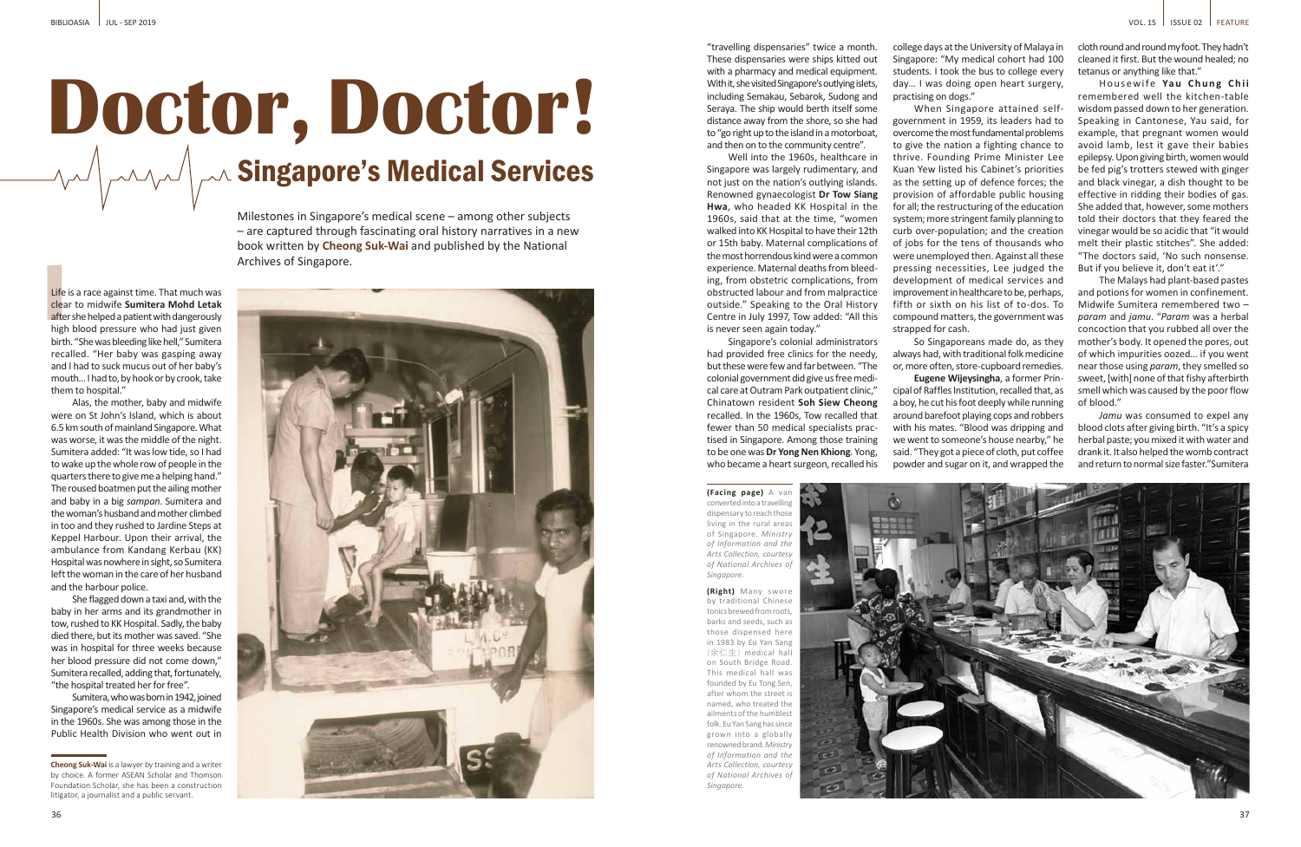"travelling dispensaries" twice a month. These dispensaries were ships kitted out with a pharmacy and medical equipment. With it, she visited Singapore's outlying islets, including Semakau, Sebarok, Sudong and Seraya. The ship would berth itself some distance away from the shore, so she had to "go right up to the island in a motorboat, and then on to the community centre".

Well into the 1960s, healthcare in Singapore was largely rudimentary, and not just on the nation's outlying islands. Renowned gynaecologist **Dr Tow Siang Hwa**, who headed KK Hospital in the 1960s, said that at the time, "women walked into KK Hospital to have their 12th or 15th baby. Maternal complications of the most horrendous kind were a common experience. Maternal deaths from bleeding, from obstetric complications, from obstructed labour and from malpractice outside." Speaking to the Oral History Centre in July 1997, Tow added: "All this is never seen again today."

Singapore's colonial administrators had provided free clinics for the needy, but these were few and far between. "The colonial government did give us free medical care at Outram Park outpatient clinic," Chinatown resident **Soh Siew Cheong** recalled. In the 1960s, Tow recalled that fewer than 50 medical specialists practised in Singapore. Among those training to be one was **Dr Yong Nen Khiong**. Yong, who became a heart surgeon, recalled his

cloth round and round my foot. They hadn't cleaned it first. But the wound healed; no tetanus or anything like that."

Housewife **Yau Chung Chii** remembered well the kitchen-table wisdom passed down to her generation. Speaking in Cantonese, Yau said, for example, that pregnant women would avoid lamb, lest it gave their babies epilepsy. Upon giving birth, women would be fed pig's trotters stewed with ginger and black vinegar, a dish thought to be effective in ridding their bodies of gas. She added that, however, some mothers told their doctors that they feared the vinegar would be so acidic that "it would melt their plastic stitches". She added: "The doctors said, 'No such nonsense. But if you believe it, don't eat it'."

The Malays had plant-based pastes and potions for women in confinement. Midwife Sumitera remembered two – *param* and *jamu*. "*Param* was a herbal concoction that you rubbed all over the mother's body. It opened the pores, out of which impurities oozed… if you went near those using *param*, they smelled so sweet, [with] none of that fishy afterbirth smell which was caused by the poor flow of blood."

*Jamu* was consumed to expel any blood clots after giving birth. "It's a spicy herbal paste; you mixed it with water and drank it. It also helped the womb contract and return to normal size faster."Sumitera

Life is a race against time. That much was<br>
clear to midwife **Sumitera Mohd Letak**<br>
after she helped a patient with dangerously<br>
high blood pressure who had just given Life is a race against time. That much was clear to midwife **Sumitera Mohd Letak** after she helped a patient with dangerously birth. "She was bleeding like hell," Sumitera recalled. "Her baby was gasping away and I had to suck mucus out of her baby's mouth… I had to, by hook or by crook, take them to hospital."

college days at the University of Malaya in Singapore: "My medical cohort had 100 students. I took the bus to college every day… I was doing open heart surgery, practising on dogs."

When Singapore attained selfgovernment in 1959, its leaders had to overcome the most fundamental problems to give the nation a fighting chance to thrive. Founding Prime Minister Lee Kuan Yew listed his Cabinet's priorities as the setting up of defence forces; the provision of affordable public housing for all; the restructuring of the education system; more stringent family planning to curb over-population; and the creation of jobs for the tens of thousands who were unemployed then. Against all these pressing necessities, Lee judged the development of medical services and improvement in healthcare to be, perhaps, fifth or sixth on his list of to-dos. To compound matters, the government was strapped for cash.



# **Doctor, Doctor!**  $\text{Im}(\mathcal{A})$  and  $\text{Im}(\mathcal{A})$  in  $\text{Im}(\mathcal{A})$  are  $\text{Im}(\mathcal{A})$  and  $\text{Im}(\mathcal{A})$  and  $\text{Im}(\mathcal{A})$  are  $\text{Im}(\mathcal{A})$

So Singaporeans made do, as they always had, with traditional folk medicine or, more often, store-cupboard remedies. **Eugene Wijeysingha**, a former Principal of Raffles Institution, recalled that, as a boy, he cut his foot deeply while running around barefoot playing cops and robbers with his mates. "Blood was dripping and we went to someone's house nearby," he said. "They got a piece of cloth, put coffee powder and sugar on it, and wrapped the

**(Facing page)** A van converted into a travelling dispensary to reach those living in the rural areas of Singapore. *Ministry of Information and the Arts Collection, courtesy of National Archives of Singapore.*

**(Right)** Many swore by traditional Chinese tonics brewed from roots, barks and seeds, such as those dispensed here in 1983 by Eu Yan Sang (余仁生) medical hall on South Bridge Road. This medical hall was founded by Eu Tong Sen, after whom the street is named, who treated the ailments of the humblest folk. Eu Yan Sang has since grown into a globally renowned brand. *Ministry of Information and the Arts Collection, courtesy of National Archives of Singapore.*

**Cheong Suk-Wai** is a lawyer by training and a writer by choice. A former ASEAN Scholar and Thomson Foundation Scholar, she has been a construction litigator, a journalist and a public servant.



Alas, the mother, baby and midwife were on St John's Island, which is about 6.5 km south of mainland Singapore. What was worse, it was the middle of the night. Sumitera added: "It was low tide, so I had to wake up the whole row of people in the quarters there to give me a helping hand." The roused boatmen put the ailing mother and baby in a big *sampan*. Sumitera and the woman's husband and mother climbed in too and they rushed to Jardine Steps at Keppel Harbour. Upon their arrival, the ambulance from Kandang Kerbau (KK) Hospital was nowhere in sight, so Sumitera left the woman in the care of her husband and the harbour police.

She flagged down a taxi and, with the baby in her arms and its grandmother in tow, rushed to KK Hospital. Sadly, the baby died there, but its mother was saved. "She was in hospital for three weeks because her blood pressure did not come down," Sumitera recalled, adding that, fortunately, "the hospital treated her for free".

Sumitera, who was born in 1942, joined Singapore's medical service as a midwife in the 1960s. She was among those in the Public Health Division who went out in

Milestones in Singapore's medical scene – among other subjects – are captured through fascinating oral history narratives in a new book written by **Cheong Suk-Wai** and published by the National Archives of Singapore.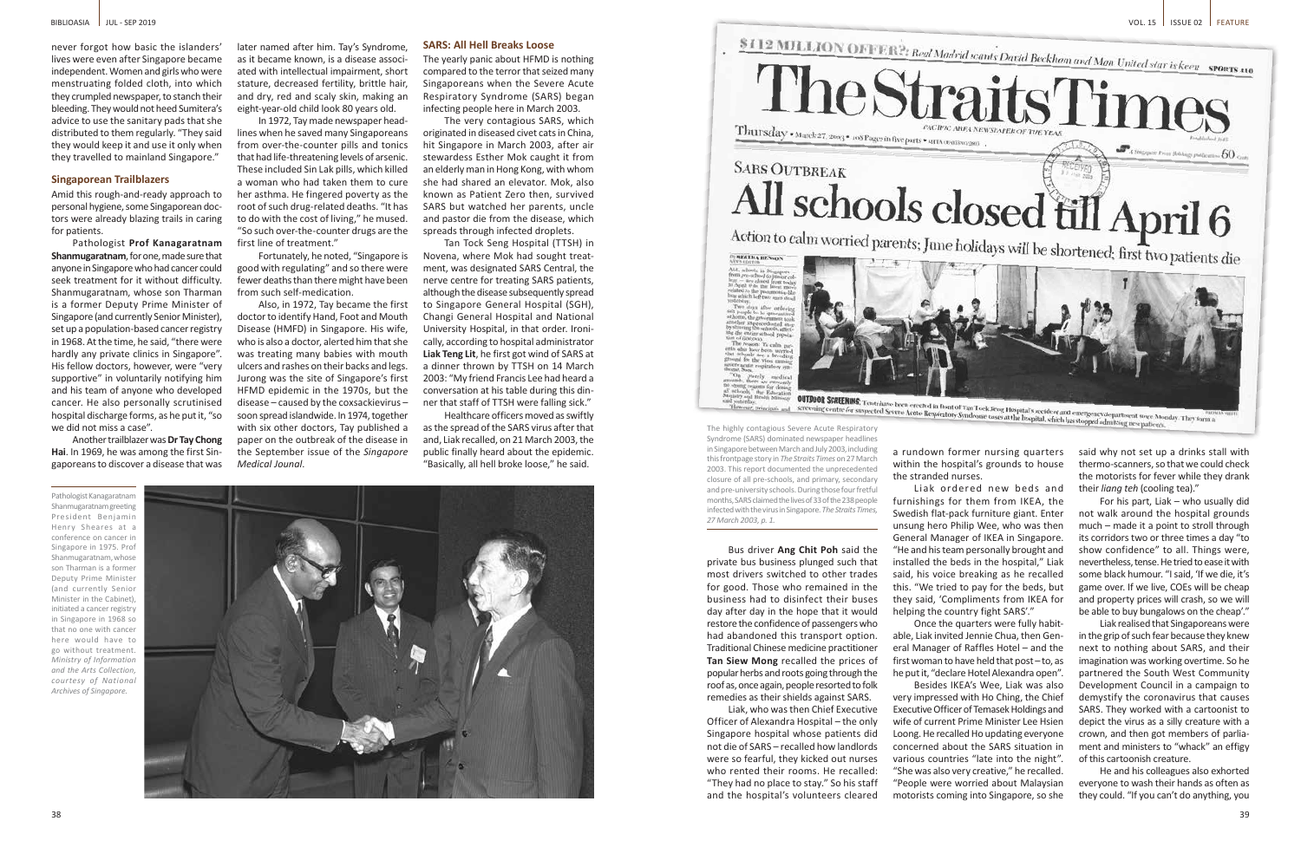Syndrome (SARS) dominated newspaper headlines in Singapore between March and July 2003, including this frontpage story in *The Straits Times* on 27 March 2003. This report documented the unprecedented closure of all pre-schools, and primary, secondary and pre-university schools. During those four fretful months, SARS claimed the lives of 33 of the 238 people infected with the virus in Singapore. *The Straits Times, 27 March 2003, p. 1.*

never forgot how basic the islanders' lives were even after Singapore became independent. Women and girls who were menstruating folded cloth, into which they crumpled newspaper, to stanch their bleeding. They would not heed Sumitera's advice to use the sanitary pads that she distributed to them regularly. "They said they would keep it and use it only when they travelled to mainland Singapore."

## **Singaporean Trailblazers**

Amid this rough-and-ready approach to personal hygiene, some Singaporean doctors were already blazing trails in caring for patients.

Pathologist **Prof Kanagaratnam Shanmugaratnam**, for one, made sure that anyone in Singapore who had cancer could seek treatment for it without difficulty. Shanmugaratnam, whose son Tharman is a former Deputy Prime Minister of Singapore (and currently Senior Minister), set up a population-based cancer registry in 1968. At the time, he said, "there were hardly any private clinics in Singapore". His fellow doctors, however, were "very supportive" in voluntarily notifying him and his team of anyone who developed cancer. He also personally scrutinised hospital discharge forms, as he put it, "so we did not miss a case".

Another trailblazer was **Dr Tay Chong Hai**. In 1969, he was among the first Singaporeans to discover a disease that was

> Bus driver **Ang Chit Poh** said the private bus business plunged such that most drivers switched to other trades for good. Those who remained in the business had to disinfect their buses day after day in the hope that it would restore the confidence of passengers who had abandoned this transport option. Traditional Chinese medicine practitioner **Tan Siew Mong** recalled the prices of popular herbs and roots going through the roof as, once again, people resorted to folk remedies as their shields against SARS.

> Liak, who was then Chief Executive Officer of Alexandra Hospital – the only Singapore hospital whose patients did not die of SARS – recalled how landlords were so fearful, they kicked out nurses who rented their rooms. He recalled: "They had no place to stay." So his staff and the hospital's volunteers cleared





later named after him. Tay's Syndrome, as it became known, is a disease associated with intellectual impairment, short stature, decreased fertility, brittle hair, and dry, red and scaly skin, making an eight-year-old child look 80 years old.

In 1972, Tay made newspaper headlines when he saved many Singaporeans from over-the-counter pills and tonics that had life-threatening levels of arsenic. These included Sin Lak pills, which killed a woman who had taken them to cure her asthma. He fingered poverty as the root of such drug-related deaths. "It has to do with the cost of living," he mused. "So such over-the-counter drugs are the first line of treatment."

Fortunately, he noted, "Singapore is good with regulating" and so there were fewer deaths than there might have been from such self-medication.







Also, in 1972, Tay became the first doctor to identify Hand, Foot and Mouth Disease (HMFD) in Singapore. His wife, who is also a doctor, alerted him that she was treating many babies with mouth ulcers and rashes on their backs and legs. Jurong was the site of Singapore's first HFMD epidemic in the 1970s, but the disease – caused by the coxsackievirus – soon spread islandwide. In 1974, together with six other doctors, Tay published a paper on the outbreak of the disease in the September issue of the *Singapore Medical Jounal*.

#### **SARS: All Hell Breaks Loose**

The yearly panic about HFMD is nothing compared to the terror that seized many Singaporeans when the Severe Acute Respiratory Syndrome (SARS) began infecting people here in March 2003.

The very contagious SARS, which originated in diseased civet cats in China, hit Singapore in March 2003, after air stewardess Esther Mok caught it from an elderly man in Hong Kong, with whom she had shared an elevator. Mok, also known as Patient Zero then, survived SARS but watched her parents, uncle and pastor die from the disease, which spreads through infected droplets.

Tan Tock Seng Hospital (TTSH) in Novena, where Mok had sought treatment, was designated SARS Central, the nerve centre for treating SARS patients, although the disease subsequently spread to Singapore General Hospital (SGH), Changi General Hospital and National University Hospital, in that order. Ironically, according to hospital administrator **Liak Teng Lit**, he first got wind of SARS at a dinner thrown by TTSH on 14 March 2003: "My friend Francis Lee had heard a conversation at his table during this dinner that staff of TTSH were falling sick."

Healthcare officers moved as swiftly as the spread of the SARS virus after that and, Liak recalled, on 21 March 2003, the public finally heard about the epidemic. "Basically, all hell broke loose," he said.

a rundown former nursing quarters within the hospital's grounds to house the stranded nurses.

Liak ordered new beds and furnishings for them from IKEA, the Swedish flat-pack furniture giant. Enter unsung hero Philip Wee, who was then General Manager of IKEA in Singapore. "He and his team personally brought and installed the beds in the hospital," Liak said, his voice breaking as he recalled this. "We tried to pay for the beds, but they said, 'Compliments from IKEA for helping the country fight SARS'."

Once the quarters were fully habitable, Liak invited Jennie Chua, then General Manager of Raffles Hotel – and the first woman to have held that post – to, as he put it, "declare Hotel Alexandra open". Besides IKEA's Wee, Liak was also very impressed with Ho Ching, the Chief Executive Officer of Temasek Holdings and wife of current Prime Minister Lee Hsien Loong. He recalled Ho updating everyone "She was also very creative," he recalled. "People were worried about Malaysian motorists coming into Singapore, so she

concerned about the SARS situation in various countries "late into the night". said why not set up a drinks stall with thermo-scanners, so that we could check the motorists for fever while they drank their *liang teh* (cooling tea)."

For his part, Liak – who usually did not walk around the hospital grounds much – made it a point to stroll through its corridors two or three times a day "to show confidence" to all. Things were, nevertheless, tense. He tried to ease it with some black humour. "I said, 'If we die, it's game over. If we live, COEs will be cheap and property prices will crash, so we will be able to buy bungalows on the cheap'."

Liak realised that Singaporeans were in the grip of such fear because they knew next to nothing about SARS, and their imagination was working overtime. So he partnered the South West Community Development Council in a campaign to demystify the coronavirus that causes SARS. They worked with a cartoonist to depict the virus as a silly creature with a crown, and then got members of parliament and ministers to "whack" an effigy of this cartoonish creature.

He and his colleagues also exhorted everyone to wash their hands as often as they could. "If you can't do anything, you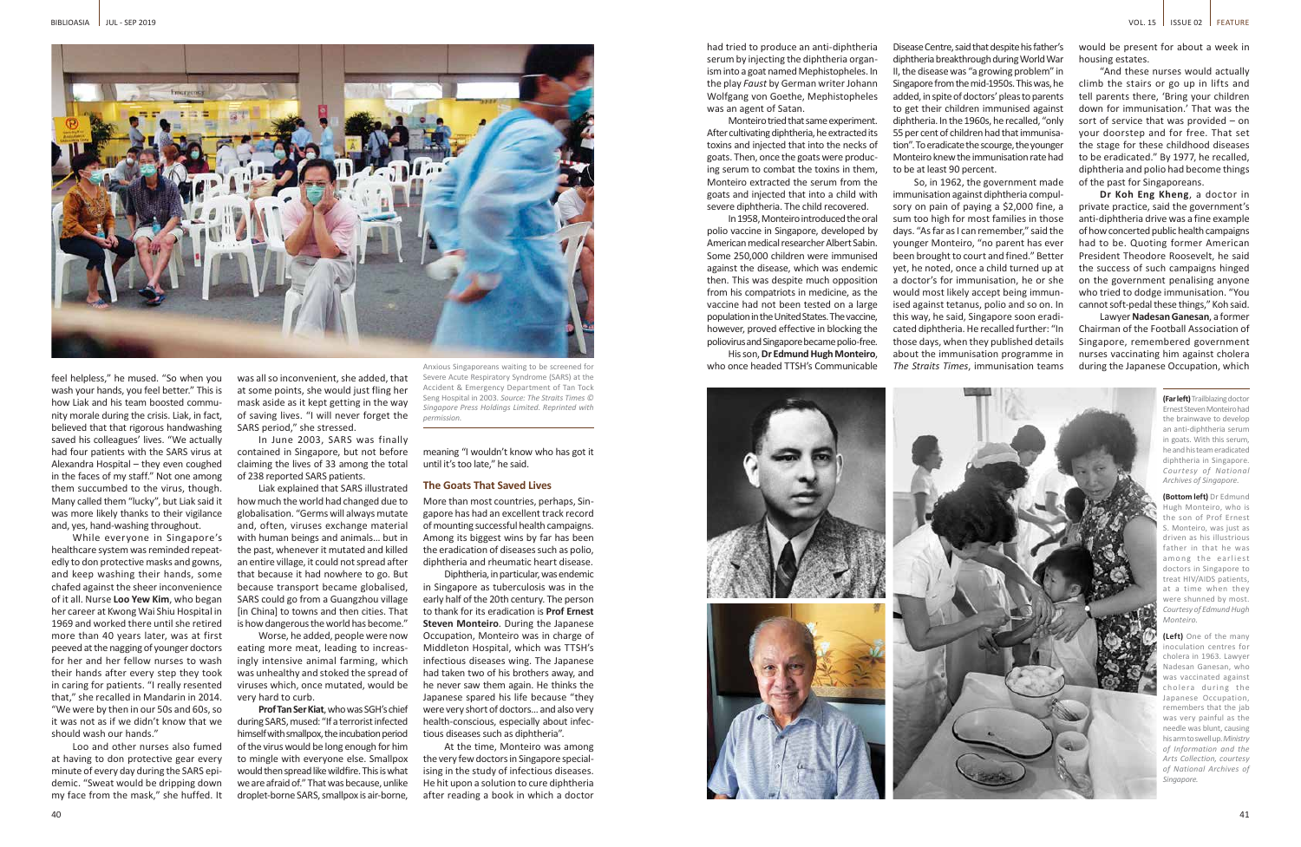feel helpless," he mused. "So when you wash your hands, you feel better." This is how Liak and his team boosted community morale during the crisis. Liak, in fact, believed that that rigorous handwashing saved his colleagues' lives. "We actually had four patients with the SARS virus at Alexandra Hospital – they even coughed in the faces of my staff." Not one among them succumbed to the virus, though. Many called them "lucky", but Liak said it was more likely thanks to their vigilance and, yes, hand-washing throughout.

While everyone in Singapore's healthcare system was reminded repeatedly to don protective masks and gowns, and keep washing their hands, some chafed against the sheer inconvenience of it all. Nurse **Loo Yew Kim**, who began her career at Kwong Wai Shiu Hospital in 1969 and worked there until she retired more than 40 years later, was at first peeved at the nagging of younger doctors for her and her fellow nurses to wash their hands after every step they took in caring for patients. "I really resented that," she recalled in Mandarin in 2014. "We were by then in our 50s and 60s, so it was not as if we didn't know that we should wash our hands."

Loo and other nurses also fumed at having to don protective gear every minute of every day during the SARS epidemic. "Sweat would be dripping down my face from the mask," she huffed. It

was all so inconvenient, she added, that at some points, she would just fling her mask aside as it kept getting in the way of saving lives. "I will never forget the SARS period," she stressed.

In June 2003, SARS was finally contained in Singapore, but not before claiming the lives of 33 among the total of 238 reported SARS patients.

Liak explained that SARS illustrated how much the world had changed due to globalisation. "Germs will always mutate and, often, viruses exchange material with human beings and animals… but in the past, whenever it mutated and killed an entire village, it could not spread after that because it had nowhere to go. But because transport became globalised, SARS could go from a Guangzhou village [in China] to towns and then cities. That is how dangerous the world has become."

Worse, he added, people were now eating more meat, leading to increasingly intensive animal farming, which was unhealthy and stoked the spread of viruses which, once mutated, would be very hard to curb.

**Prof Tan Ser Kiat**, who was SGH's chief during SARS, mused: "If a terrorist infected himself with smallpox, the incubation period of the virus would be long enough for him to mingle with everyone else. Smallpox would then spread like wildfire. This is what we are afraid of." That was because, unlike droplet-borne SARS, smallpox is air-borne,



Severe Acute Respiratory Syndrome (SARS) at the Accident & Emergency Department of Tan Tock Seng Hospital in 2003. *Source: The Straits Times © Singapore Press Holdings Limited. Reprinted with permission.*

meaning "I wouldn't know who has got it until it's too late," he said.

# **The Goats That Saved Lives**

More than most countries, perhaps, Singapore has had an excellent track record of mounting successful health campaigns. Among its biggest wins by far has been the eradication of diseases such as polio, diphtheria and rheumatic heart disease.

Diphtheria, in particular, was endemic in Singapore as tuberculosis was in the early half of the 20th century. The person to thank for its eradication is **Prof Ernest Steven Monteiro**. During the Japanese Occupation, Monteiro was in charge of Middleton Hospital, which was TTSH's infectious diseases wing. The Japanese had taken two of his brothers away, and he never saw them again. He thinks the Japanese spared his life because "they were very short of doctors… and also very health-conscious, especially about infectious diseases such as diphtheria".

At the time, Monteiro was among the very few doctors in Singapore specialising in the study of infectious diseases. He hit upon a solution to cure diphtheria after reading a book in which a doctor

had tried to produce an anti-diphtheria serum by injecting the diphtheria organism into a goat named Mephistopheles. In the play *Faust* by German writer Johann Wolfgang von Goethe, Mephistopheles was an agent of Satan.

Monteiro tried that same experiment. After cultivating diphtheria, he extracted its toxins and injected that into the necks of goats. Then, once the goats were producing serum to combat the toxins in them, Monteiro extracted the serum from the goats and injected that into a child with severe diphtheria. The child recovered.

In 1958, Monteiro introduced the oral polio vaccine in Singapore, developed by American medical researcher Albert Sabin. Some 250,000 children were immunised against the disease, which was endemic then. This was despite much opposition from his compatriots in medicine, as the vaccine had not been tested on a large population in the United States. The vaccine, however, proved effective in blocking the poliovirus and Singapore became polio-free. His son, **Dr Edmund Hugh Monteiro**,

who once headed TTSH's Communicable

Disease Centre, said that despite his father's diphtheria breakthrough during World War II, the disease was "a growing problem" in Singapore from the mid-1950s. This was, he added, in spite of doctors' pleas to parents to get their children immunised against diphtheria. In the 1960s, he recalled, "only 55 per cent of children had that immunisation". To eradicate the scourge, the younger Monteiro knew the immunisation rate had



So, in 1962, the government made immunisation against diphtheria compulsory on pain of paying a \$2,000 fine, a sum too high for most families in those days. "As far as I can remember," said the younger Monteiro, "no parent has ever been brought to court and fined." Better yet, he noted, once a child turned up at a doctor's for immunisation, he or she would most likely accept being immunised against tetanus, polio and so on. In this way, he said, Singapore soon eradicated diphtheria. He recalled further: "In those days, when they published details about the immunisation programme in *The Straits Times*, immunisation teams

would be present for about a week in housing estates.

"And these nurses would actually climb the stairs or go up in lifts and tell parents there, 'Bring your children down for immunisation.' That was the sort of service that was provided – on your doorstep and for free. That set the stage for these childhood diseases to be eradicated." By 1977, he recalled, diphtheria and polio had become things of the past for Singaporeans.

**Dr Koh Eng Kheng**, a doctor in private practice, said the government's anti-diphtheria drive was a fine example of how concerted public health campaigns had to be. Quoting former American President Theodore Roosevelt, he said the success of such campaigns hinged on the government penalising anyone who tried to dodge immunisation. "You cannot soft-pedal these things," Koh said.

Lawyer **Nadesan Ganesan**, a former Chairman of the Football Association of Singapore, remembered government nurses vaccinating him against cholera during the Japanese Occupation, which



**(Far left)** Trailblazing doctor Ernest Steven Monteiro had the brainwave to develop an anti-diphtheria serum in goats. With this serum, he and his team eradicated diphtheria in Singapore. *Courtesy of National Archives of Singapore.*

**(Bottom left)** Dr Edmund Hugh Monteiro, who is the son of Prof Ernest . Monteiro, was just as driven as his illustrious father in that he was among the earliest doctors in Singapore to treat HIV/AIDS patients, at a time when they were shunned by most. *Courtesy of Edmund Hugh Monteiro.*

**(Left)** One of the many noculation centres for cholera in 1963. Lawyer Nadesan Ganesan, who was vaccinated against cholera during the Japanese Occupation, remembers that the jab was very painful as the needle was blunt, causing his arm to swell up. *Ministry of Information and the Arts Collection, courtesy of National Archives of Singapore.*